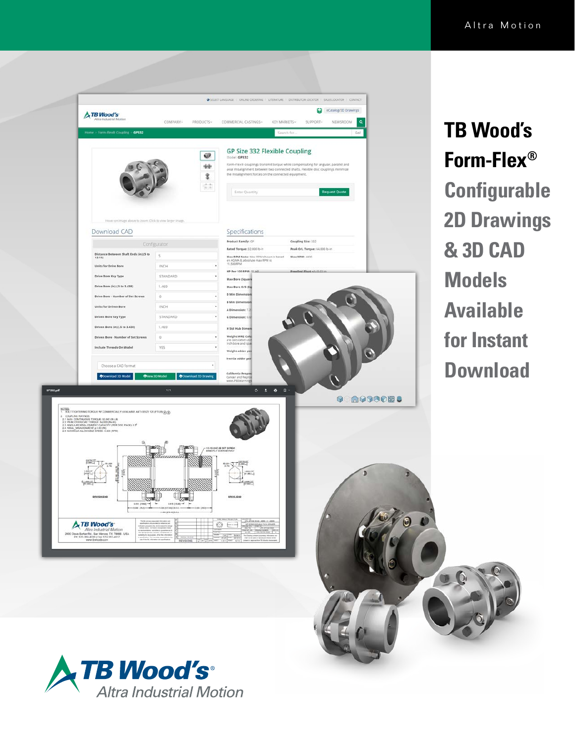

**TB Wood's Form-Flex® Configurable 2D Drawings & 3D CAD Models Available for Instant Download**



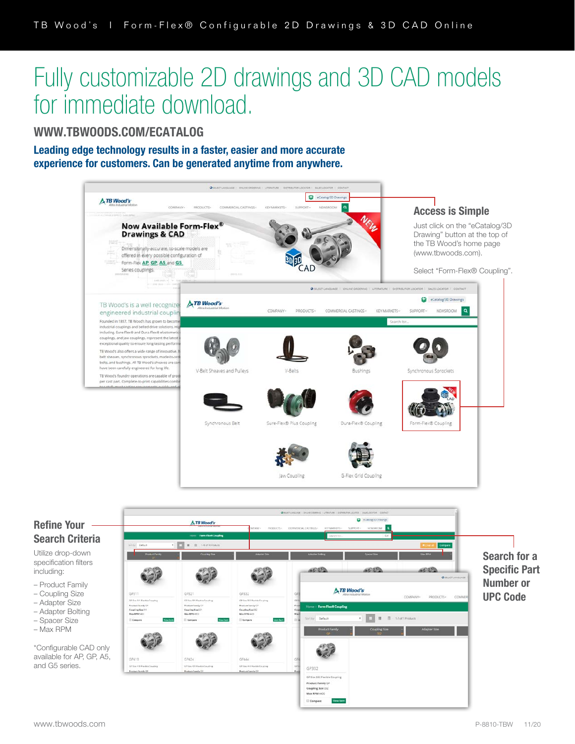## Fully customizable 2D drawings and 3D CAD models for immediate download.

WWW.TBWOODS.COM/ECATALOG

Leading edge technology results in a faster, easier and more accurate experience for customers. Can be generated anytime from anywhere.



## Refine Your Search Criteria

Utilize drop-down specification filters including:

- Product Family
- Coupling Size
- Adapter Size – Adapter Bolting
- Spacer Size
- Max RPM

\*Configurable CAD only available for AP, GP, A5, and G5 series.

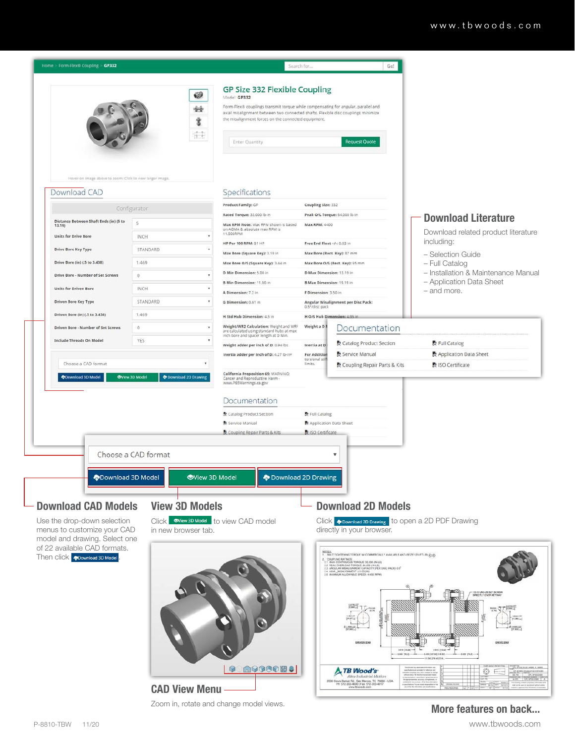

Zoom in, rotate and change model views.

## More features on back...

P-8810-TBW 11/20 www.tbwoods.com